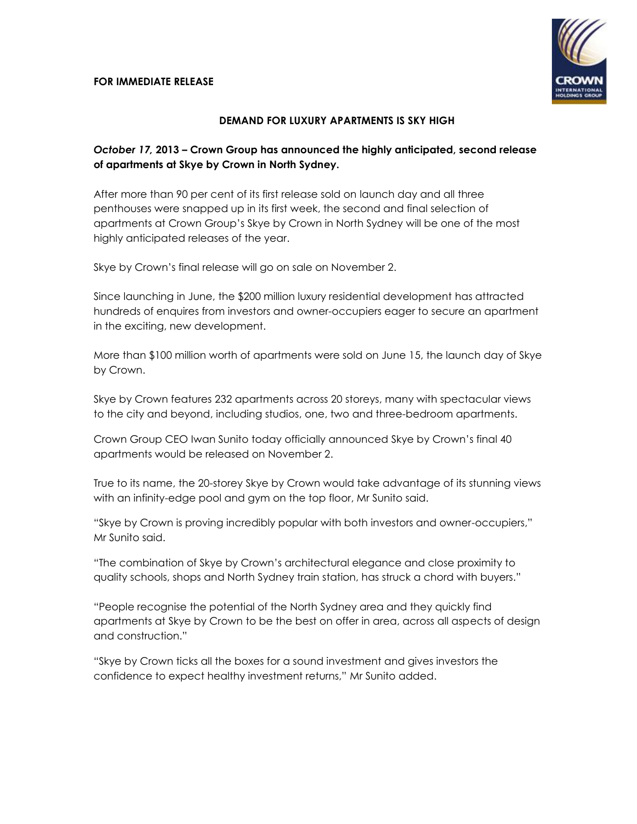### **FOR IMMEDIATE RELEASE**



## **DEMAND FOR LUXURY APARTMENTS IS SKY HIGH**

# *October 17,* **2013 – Crown Group has announced the highly anticipated, second release of apartments at Skye by Crown in North Sydney.**

After more than 90 per cent of its first release sold on launch day and all three penthouses were snapped up in its first week, the second and final selection of apartments at Crown Group's Skye by Crown in North Sydney will be one of the most highly anticipated releases of the year.

Skye by Crown's final release will go on sale on November 2.

Since launching in June, the \$200 million luxury residential development has attracted hundreds of enquires from investors and owner-occupiers eager to secure an apartment in the exciting, new development.

More than \$100 million worth of apartments were sold on June 15, the launch day of Skye by Crown.

Skye by Crown features 232 apartments across 20 storeys, many with spectacular views to the city and beyond, including studios, one, two and three-bedroom apartments.

Crown Group CEO Iwan Sunito today officially announced Skye by Crown's final 40 apartments would be released on November 2.

True to its name, the 20-storey Skye by Crown would take advantage of its stunning views with an infinity-edge pool and gym on the top floor, Mr Sunito said.

"Skye by Crown is proving incredibly popular with both investors and owner-occupiers," Mr Sunito said.

"The combination of Skye by Crown's architectural elegance and close proximity to quality schools, shops and North Sydney train station, has struck a chord with buyers."

"People recognise the potential of the North Sydney area and they quickly find apartments at Skye by Crown to be the best on offer in area, across all aspects of design and construction."

"Skye by Crown ticks all the boxes for a sound investment and gives investors the confidence to expect healthy investment returns," Mr Sunito added.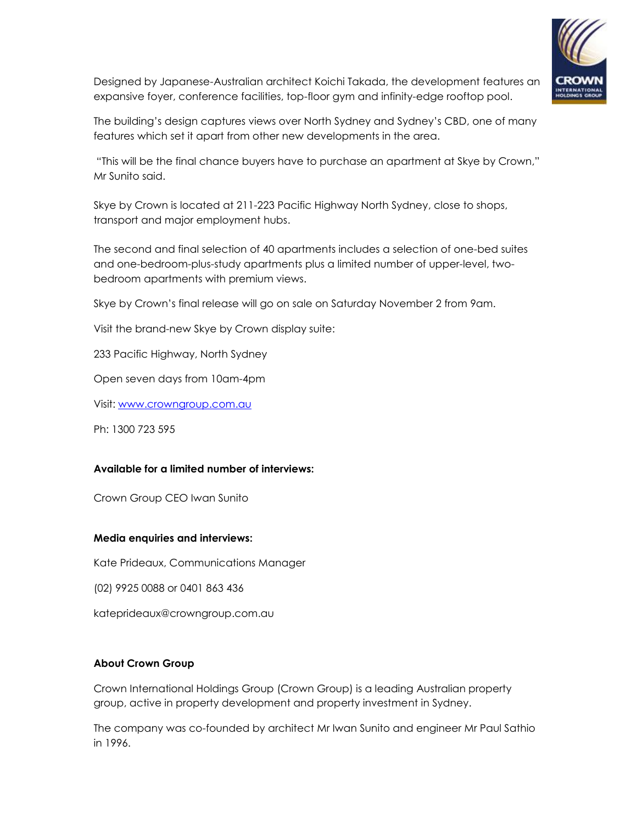

Designed by Japanese-Australian architect Koichi Takada, the development features an expansive foyer, conference facilities, top-floor gym and infinity-edge rooftop pool.

The building's design captures views over North Sydney and Sydney's CBD, one of many features which set it apart from other new developments in the area.

"This will be the final chance buyers have to purchase an apartment at Skye by Crown," Mr Sunito said.

Skye by Crown is located at 211-223 Pacific Highway North Sydney, close to shops, transport and major employment hubs.

The second and final selection of 40 apartments includes a selection of one-bed suites and one-bedroom-plus-study apartments plus a limited number of upper-level, twobedroom apartments with premium views.

Skye by Crown's final release will go on sale on Saturday November 2 from 9am.

Visit the brand-new Skye by Crown display suite:

233 Pacific Highway, North Sydney

Open seven days from 10am-4pm

Visit: [www.crowngroup.com.au](http://www.crowngroup.com.au/)

Ph: 1300 723 595

### **Available for a limited number of interviews:**

Crown Group CEO Iwan Sunito

### **Media enquiries and interviews:**

Kate Prideaux, Communications Manager

(02) 9925 0088 or 0401 863 436

kateprideaux@crowngroup.com.au

### **About Crown Group**

Crown International Holdings Group (Crown Group) is a leading Australian property group, active in property development and property investment in Sydney.

The company was co-founded by architect Mr Iwan Sunito and engineer Mr Paul Sathio in 1996.